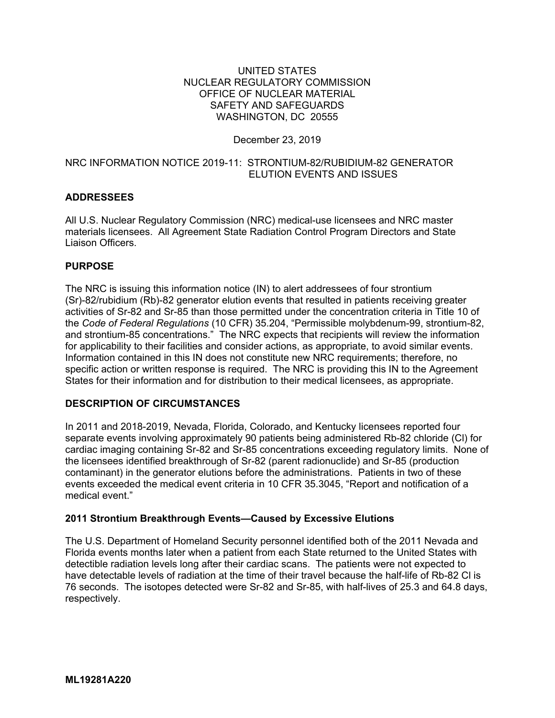#### UNITED STATES NUCLEAR REGULATORY COMMISSION OFFICE OF NUCLEAR MATERIAL SAFETY AND SAFEGUARDS WASHINGTON, DC 20555

# December 23, 2019

#### NRC INFORMATION NOTICE 2019-11: STRONTIUM-82/RUBIDIUM-82 GENERATOR ELUTION EVENTS AND ISSUES

# **ADDRESSEES**

All U.S. Nuclear Regulatory Commission (NRC) medical-use licensees and NRC master materials licensees. All Agreement State Radiation Control Program Directors and State Liaison Officers.

#### **PURPOSE**

The NRC is issuing this information notice (IN) to alert addressees of four strontium (Sr)-82/rubidium (Rb)-82 generator elution events that resulted in patients receiving greater activities of Sr-82 and Sr-85 than those permitted under the concentration criteria in Title 10 of the *Code of Federal Regulations* (10 CFR) 35.204, "Permissible molybdenum-99, strontium-82, and strontium-85 concentrations." The NRC expects that recipients will review the information for applicability to their facilities and consider actions, as appropriate, to avoid similar events. Information contained in this IN does not constitute new NRC requirements; therefore, no specific action or written response is required. The NRC is providing this IN to the Agreement States for their information and for distribution to their medical licensees, as appropriate.

### **DESCRIPTION OF CIRCUMSTANCES**

In 2011 and 2018-2019, Nevada, Florida, Colorado, and Kentucky licensees reported four separate events involving approximately 90 patients being administered Rb-82 chloride (Cl) for cardiac imaging containing Sr-82 and Sr-85 concentrations exceeding regulatory limits. None of the licensees identified breakthrough of Sr-82 (parent radionuclide) and Sr-85 (production contaminant) in the generator elutions before the administrations. Patients in two of these events exceeded the medical event criteria in 10 CFR 35.3045, "Report and notification of a medical event."

# **2011 Strontium Breakthrough Events—Caused by Excessive Elutions**

The U.S. Department of Homeland Security personnel identified both of the 2011 Nevada and Florida events months later when a patient from each State returned to the United States with detectible radiation levels long after their cardiac scans. The patients were not expected to have detectable levels of radiation at the time of their travel because the half-life of Rb-82 Cl is 76 seconds. The isotopes detected were Sr-82 and Sr-85, with half-lives of 25.3 and 64.8 days, respectively.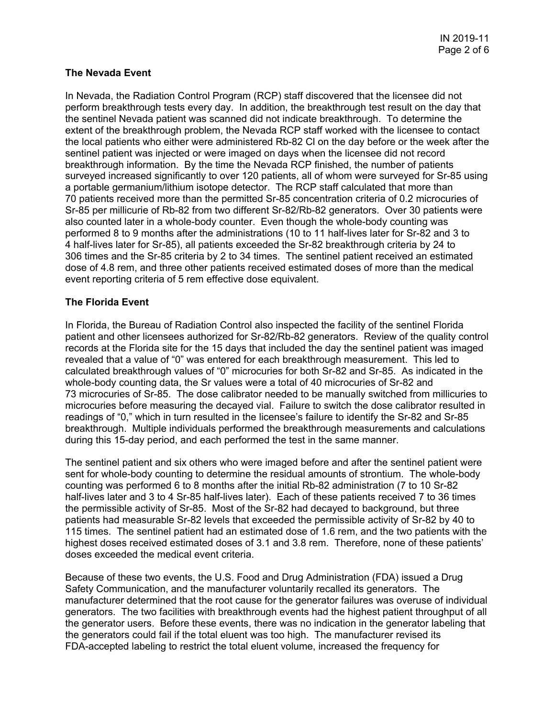# **The Nevada Event**

In Nevada, the Radiation Control Program (RCP) staff discovered that the licensee did not perform breakthrough tests every day. In addition, the breakthrough test result on the day that the sentinel Nevada patient was scanned did not indicate breakthrough. To determine the extent of the breakthrough problem, the Nevada RCP staff worked with the licensee to contact the local patients who either were administered Rb-82 Cl on the day before or the week after the sentinel patient was injected or were imaged on days when the licensee did not record breakthrough information. By the time the Nevada RCP finished, the number of patients surveyed increased significantly to over 120 patients, all of whom were surveyed for Sr-85 using a portable germanium/lithium isotope detector. The RCP staff calculated that more than 70 patients received more than the permitted Sr-85 concentration criteria of 0.2 microcuries of Sr-85 per millicurie of Rb-82 from two different Sr-82/Rb-82 generators. Over 30 patients were also counted later in a whole-body counter. Even though the whole-body counting was performed 8 to 9 months after the administrations (10 to 11 half-lives later for Sr-82 and 3 to 4 half-lives later for Sr-85), all patients exceeded the Sr-82 breakthrough criteria by 24 to 306 times and the Sr-85 criteria by 2 to 34 times. The sentinel patient received an estimated dose of 4.8 rem, and three other patients received estimated doses of more than the medical event reporting criteria of 5 rem effective dose equivalent.

# **The Florida Event**

In Florida, the Bureau of Radiation Control also inspected the facility of the sentinel Florida patient and other licensees authorized for Sr-82/Rb-82 generators. Review of the quality control records at the Florida site for the 15 days that included the day the sentinel patient was imaged revealed that a value of "0" was entered for each breakthrough measurement. This led to calculated breakthrough values of "0" microcuries for both Sr-82 and Sr-85. As indicated in the whole-body counting data, the Sr values were a total of 40 microcuries of Sr-82 and 73 microcuries of Sr-85. The dose calibrator needed to be manually switched from millicuries to microcuries before measuring the decayed vial. Failure to switch the dose calibrator resulted in readings of "0," which in turn resulted in the licensee's failure to identify the Sr-82 and Sr-85 breakthrough. Multiple individuals performed the breakthrough measurements and calculations during this 15-day period, and each performed the test in the same manner.

The sentinel patient and six others who were imaged before and after the sentinel patient were sent for whole-body counting to determine the residual amounts of strontium. The whole-body counting was performed 6 to 8 months after the initial Rb-82 administration (7 to 10 Sr-82 half-lives later and 3 to 4 Sr-85 half-lives later). Each of these patients received 7 to 36 times the permissible activity of Sr-85. Most of the Sr-82 had decayed to background, but three patients had measurable Sr-82 levels that exceeded the permissible activity of Sr-82 by 40 to 115 times. The sentinel patient had an estimated dose of 1.6 rem, and the two patients with the highest doses received estimated doses of 3.1 and 3.8 rem. Therefore, none of these patients' doses exceeded the medical event criteria.

Because of these two events, the U.S. Food and Drug Administration (FDA) issued a Drug Safety Communication, and the manufacturer voluntarily recalled its generators. The manufacturer determined that the root cause for the generator failures was overuse of individual generators. The two facilities with breakthrough events had the highest patient throughput of all the generator users. Before these events, there was no indication in the generator labeling that the generators could fail if the total eluent was too high. The manufacturer revised its FDA-accepted labeling to restrict the total eluent volume, increased the frequency for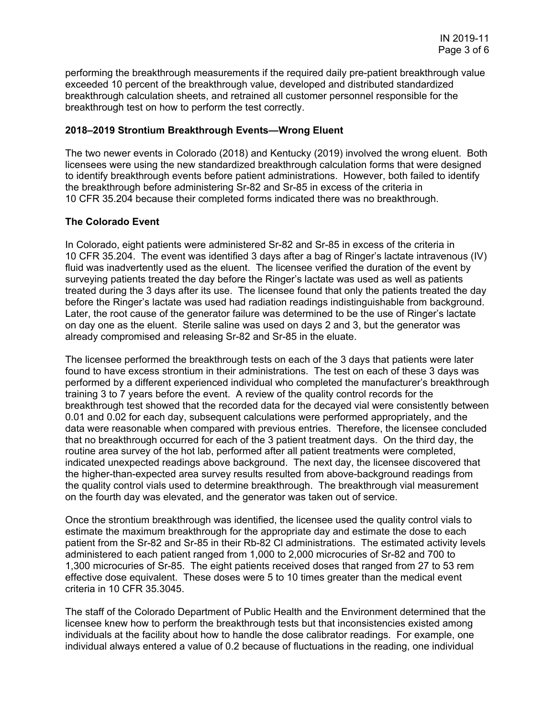performing the breakthrough measurements if the required daily pre-patient breakthrough value exceeded 10 percent of the breakthrough value, developed and distributed standardized breakthrough calculation sheets, and retrained all customer personnel responsible for the breakthrough test on how to perform the test correctly.

#### **2018–2019 Strontium Breakthrough Events—Wrong Eluent**

The two newer events in Colorado (2018) and Kentucky (2019) involved the wrong eluent. Both licensees were using the new standardized breakthrough calculation forms that were designed to identify breakthrough events before patient administrations. However, both failed to identify the breakthrough before administering Sr-82 and Sr-85 in excess of the criteria in 10 CFR 35.204 because their completed forms indicated there was no breakthrough.

# **The Colorado Event**

In Colorado, eight patients were administered Sr-82 and Sr-85 in excess of the criteria in 10 CFR 35.204. The event was identified 3 days after a bag of Ringer's lactate intravenous (IV) fluid was inadvertently used as the eluent. The licensee verified the duration of the event by surveying patients treated the day before the Ringer's lactate was used as well as patients treated during the 3 days after its use. The licensee found that only the patients treated the day before the Ringer's lactate was used had radiation readings indistinguishable from background. Later, the root cause of the generator failure was determined to be the use of Ringer's lactate on day one as the eluent. Sterile saline was used on days 2 and 3, but the generator was already compromised and releasing Sr-82 and Sr-85 in the eluate.

The licensee performed the breakthrough tests on each of the 3 days that patients were later found to have excess strontium in their administrations. The test on each of these 3 days was performed by a different experienced individual who completed the manufacturer's breakthrough training 3 to 7 years before the event. A review of the quality control records for the breakthrough test showed that the recorded data for the decayed vial were consistently between 0.01 and 0.02 for each day, subsequent calculations were performed appropriately, and the data were reasonable when compared with previous entries. Therefore, the licensee concluded that no breakthrough occurred for each of the 3 patient treatment days. On the third day, the routine area survey of the hot lab, performed after all patient treatments were completed, indicated unexpected readings above background. The next day, the licensee discovered that the higher-than-expected area survey results resulted from above-background readings from the quality control vials used to determine breakthrough. The breakthrough vial measurement on the fourth day was elevated, and the generator was taken out of service.

Once the strontium breakthrough was identified, the licensee used the quality control vials to estimate the maximum breakthrough for the appropriate day and estimate the dose to each patient from the Sr-82 and Sr-85 in their Rb-82 Cl administrations. The estimated activity levels administered to each patient ranged from 1,000 to 2,000 microcuries of Sr-82 and 700 to 1,300 microcuries of Sr-85. The eight patients received doses that ranged from 27 to 53 rem effective dose equivalent. These doses were 5 to 10 times greater than the medical event criteria in 10 CFR 35.3045.

The staff of the Colorado Department of Public Health and the Environment determined that the licensee knew how to perform the breakthrough tests but that inconsistencies existed among individuals at the facility about how to handle the dose calibrator readings. For example, one individual always entered a value of 0.2 because of fluctuations in the reading, one individual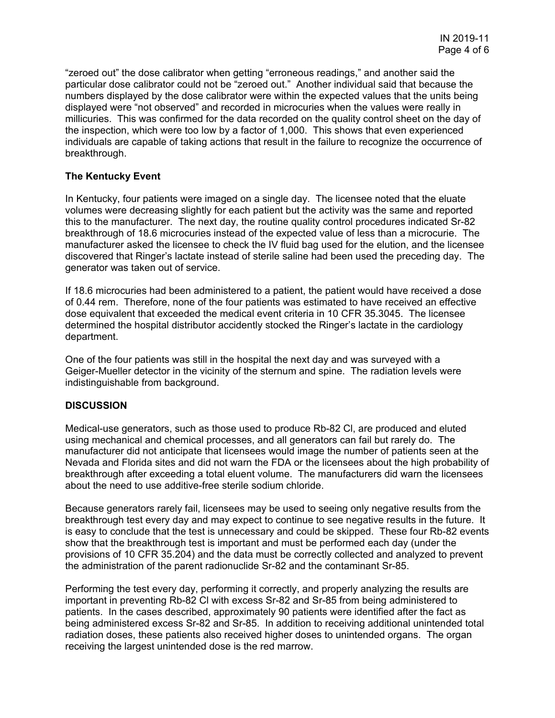"zeroed out" the dose calibrator when getting "erroneous readings," and another said the particular dose calibrator could not be "zeroed out." Another individual said that because the numbers displayed by the dose calibrator were within the expected values that the units being displayed were "not observed" and recorded in microcuries when the values were really in millicuries. This was confirmed for the data recorded on the quality control sheet on the day of the inspection, which were too low by a factor of 1,000. This shows that even experienced individuals are capable of taking actions that result in the failure to recognize the occurrence of breakthrough.

### **The Kentucky Event**

In Kentucky, four patients were imaged on a single day. The licensee noted that the eluate volumes were decreasing slightly for each patient but the activity was the same and reported this to the manufacturer. The next day, the routine quality control procedures indicated Sr-82 breakthrough of 18.6 microcuries instead of the expected value of less than a microcurie. The manufacturer asked the licensee to check the IV fluid bag used for the elution, and the licensee discovered that Ringer's lactate instead of sterile saline had been used the preceding day. The generator was taken out of service.

If 18.6 microcuries had been administered to a patient, the patient would have received a dose of 0.44 rem. Therefore, none of the four patients was estimated to have received an effective dose equivalent that exceeded the medical event criteria in 10 CFR 35.3045. The licensee determined the hospital distributor accidently stocked the Ringer's lactate in the cardiology department.

One of the four patients was still in the hospital the next day and was surveyed with a Geiger-Mueller detector in the vicinity of the sternum and spine. The radiation levels were indistinguishable from background.

#### **DISCUSSION**

Medical-use generators, such as those used to produce Rb-82 Cl, are produced and eluted using mechanical and chemical processes, and all generators can fail but rarely do. The manufacturer did not anticipate that licensees would image the number of patients seen at the Nevada and Florida sites and did not warn the FDA or the licensees about the high probability of breakthrough after exceeding a total eluent volume. The manufacturers did warn the licensees about the need to use additive-free sterile sodium chloride.

Because generators rarely fail, licensees may be used to seeing only negative results from the breakthrough test every day and may expect to continue to see negative results in the future. It is easy to conclude that the test is unnecessary and could be skipped. These four Rb-82 events show that the breakthrough test is important and must be performed each day (under the provisions of 10 CFR 35.204) and the data must be correctly collected and analyzed to prevent the administration of the parent radionuclide Sr-82 and the contaminant Sr-85.

Performing the test every day, performing it correctly, and properly analyzing the results are important in preventing Rb-82 Cl with excess Sr-82 and Sr-85 from being administered to patients. In the cases described, approximately 90 patients were identified after the fact as being administered excess Sr-82 and Sr-85. In addition to receiving additional unintended total radiation doses, these patients also received higher doses to unintended organs. The organ receiving the largest unintended dose is the red marrow.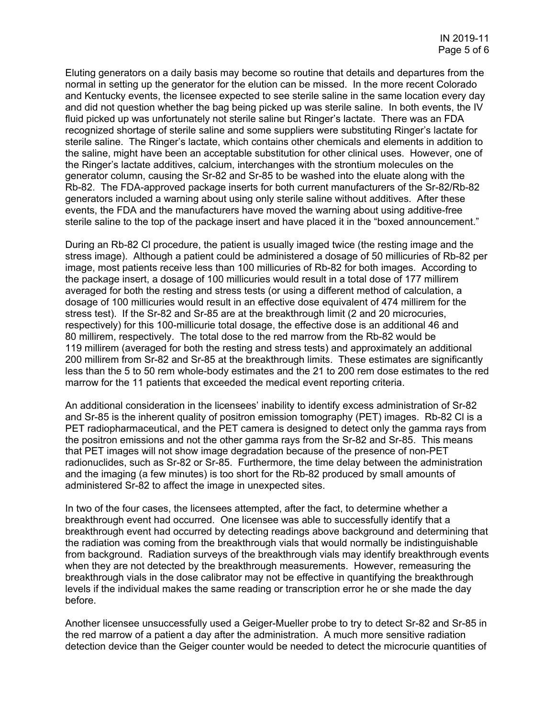Eluting generators on a daily basis may become so routine that details and departures from the normal in setting up the generator for the elution can be missed. In the more recent Colorado and Kentucky events, the licensee expected to see sterile saline in the same location every day and did not question whether the bag being picked up was sterile saline. In both events, the IV fluid picked up was unfortunately not sterile saline but Ringer's lactate. There was an FDA recognized shortage of sterile saline and some suppliers were substituting Ringer's lactate for sterile saline. The Ringer's lactate, which contains other chemicals and elements in addition to the saline, might have been an acceptable substitution for other clinical uses. However, one of the Ringer's lactate additives, calcium, interchanges with the strontium molecules on the generator column, causing the Sr-82 and Sr-85 to be washed into the eluate along with the Rb-82. The FDA-approved package inserts for both current manufacturers of the Sr-82/Rb-82 generators included a warning about using only sterile saline without additives. After these events, the FDA and the manufacturers have moved the warning about using additive-free sterile saline to the top of the package insert and have placed it in the "boxed announcement."

During an Rb-82 Cl procedure, the patient is usually imaged twice (the resting image and the stress image). Although a patient could be administered a dosage of 50 millicuries of Rb-82 per image, most patients receive less than 100 millicuries of Rb-82 for both images. According to the package insert, a dosage of 100 millicuries would result in a total dose of 177 millirem averaged for both the resting and stress tests (or using a different method of calculation, a dosage of 100 millicuries would result in an effective dose equivalent of 474 millirem for the stress test). If the Sr-82 and Sr-85 are at the breakthrough limit (2 and 20 microcuries, respectively) for this 100-millicurie total dosage, the effective dose is an additional 46 and 80 millirem, respectively. The total dose to the red marrow from the Rb-82 would be 119 millirem (averaged for both the resting and stress tests) and approximately an additional 200 millirem from Sr-82 and Sr-85 at the breakthrough limits. These estimates are significantly less than the 5 to 50 rem whole-body estimates and the 21 to 200 rem dose estimates to the red marrow for the 11 patients that exceeded the medical event reporting criteria.

An additional consideration in the licensees' inability to identify excess administration of Sr-82 and Sr-85 is the inherent quality of positron emission tomography (PET) images. Rb-82 Cl is a PET radiopharmaceutical, and the PET camera is designed to detect only the gamma rays from the positron emissions and not the other gamma rays from the Sr-82 and Sr-85. This means that PET images will not show image degradation because of the presence of non-PET radionuclides, such as Sr-82 or Sr-85. Furthermore, the time delay between the administration and the imaging (a few minutes) is too short for the Rb-82 produced by small amounts of administered Sr-82 to affect the image in unexpected sites.

In two of the four cases, the licensees attempted, after the fact, to determine whether a breakthrough event had occurred. One licensee was able to successfully identify that a breakthrough event had occurred by detecting readings above background and determining that the radiation was coming from the breakthrough vials that would normally be indistinguishable from background. Radiation surveys of the breakthrough vials may identify breakthrough events when they are not detected by the breakthrough measurements. However, remeasuring the breakthrough vials in the dose calibrator may not be effective in quantifying the breakthrough levels if the individual makes the same reading or transcription error he or she made the day before.

Another licensee unsuccessfully used a Geiger-Mueller probe to try to detect Sr-82 and Sr-85 in the red marrow of a patient a day after the administration. A much more sensitive radiation detection device than the Geiger counter would be needed to detect the microcurie quantities of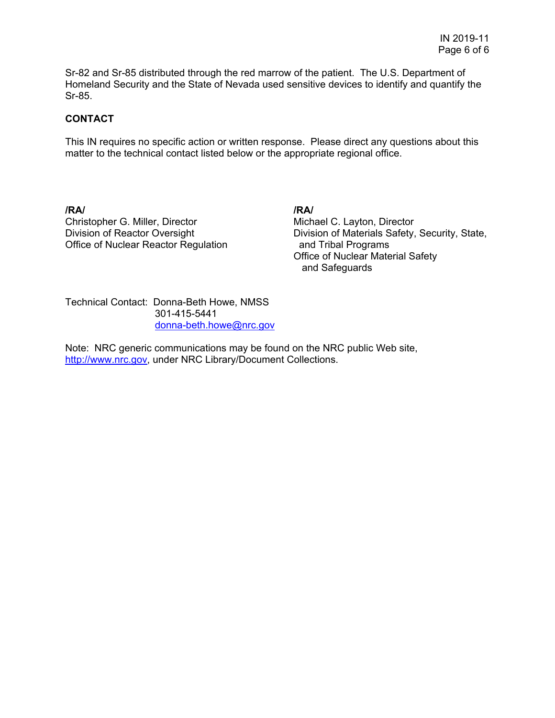Sr-82 and Sr-85 distributed through the red marrow of the patient. The U.S. Department of Homeland Security and the State of Nevada used sensitive devices to identify and quantify the Sr-85.

### **CONTACT**

This IN requires no specific action or written response. Please direct any questions about this matter to the technical contact listed below or the appropriate regional office.

**/RA/ /RA/** Christopher G. Miller, Director Division of Reactor Oversight Office of Nuclear Reactor Regulation

Michael C. Layton, Director Division of Materials Safety, Security, State, and Tribal Programs Office of Nuclear Material Safety and Safeguards

Technical Contact: Donna-Beth Howe, NMSS 301-415-5441 donna-beth.howe@nrc.gov

Note: NRC generic communications may be found on the NRC public Web site, http://www.nrc.gov, under NRC Library/Document Collections.